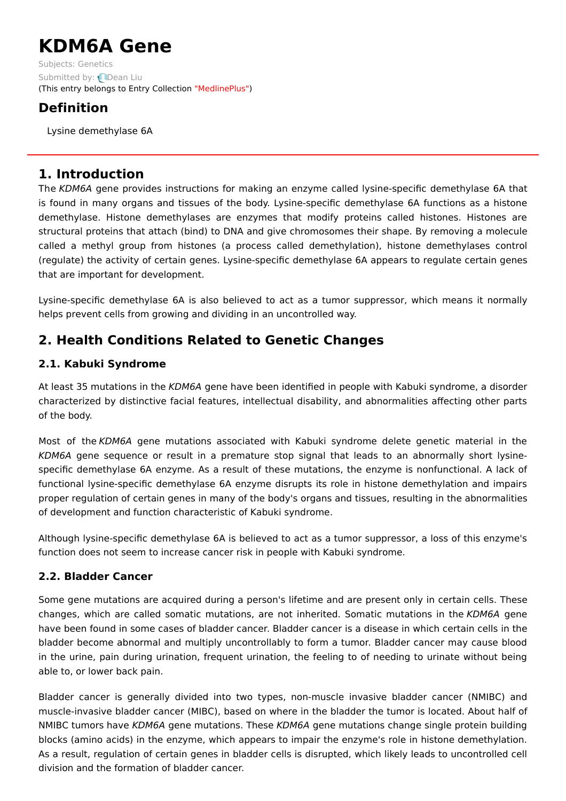# **KDM6A Gene**

Subjects: [Genetics](https://encyclopedia.pub/item/subject/56) Submitted by: **Q[Dean](https://sciprofiles.com/profile/1156464) Liu** (This entry belongs to Entry Collection ["MedlinePlus"](https://encyclopedia.pub/entry/collection/24))

# **Definition**

Lysine demethylase 6A

## **1. Introduction**

The KDM6A gene provides instructions for making an enzyme called lysine-specific demethylase 6A that is found in many organs and tissues of the body. Lysine-specific demethylase 6A functions as a histone demethylase. Histone demethylases are enzymes that modify proteins called histones. Histones are structural proteins that attach (bind) to DNA and give chromosomes their shape. By removing a molecule called a methyl group from histones (a process called demethylation), histone demethylases control (regulate) the activity of certain genes. Lysine-specific demethylase 6A appears to regulate certain genes that are important for development.

Lysine-specific demethylase 6A is also believed to act as a tumor suppressor, which means it normally helps prevent cells from growing and dividing in an uncontrolled way.

# **2. Health Conditions Related to Genetic Changes**

## **2.1. Kabuki Syndrome**

At least 35 mutations in the KDM6A gene have been identified in people with Kabuki syndrome, a disorder characterized by distinctive facial features, intellectual disability, and abnormalities affecting other parts of the body.

Most of the KDM6A gene mutations associated with Kabuki syndrome delete genetic material in the KDM6A gene sequence or result in a premature stop signal that leads to an abnormally short lysinespecific demethylase 6A enzyme. As a result of these mutations, the enzyme is nonfunctional. A lack of functional lysine-specific demethylase 6A enzyme disrupts its role in histone demethylation and impairs proper regulation of certain genes in many of the body's organs and tissues, resulting in the abnormalities of development and function characteristic of Kabuki syndrome.

Although lysine-specific demethylase 6A is believed to act as a tumor suppressor, a loss of this enzyme's function does not seem to increase cancer risk in people with Kabuki syndrome.

## **2.2. Bladder Cancer**

Some gene mutations are acquired during a person's lifetime and are present only in certain cells. These changes, which are called somatic mutations, are not inherited. Somatic mutations in the KDM6A gene have been found in some cases of bladder cancer. Bladder cancer is a disease in which certain cells in the bladder become abnormal and multiply uncontrollably to form a tumor. Bladder cancer may cause blood in the urine, pain during urination, frequent urination, the feeling to of needing to urinate without being able to, or lower back pain.

Bladder cancer is generally divided into two types, non-muscle invasive bladder cancer (NMIBC) and muscle-invasive bladder cancer (MIBC), based on where in the bladder the tumor is located. About half of NMIBC tumors have KDM6A gene mutations. These KDM6A gene mutations change single protein building blocks (amino acids) in the enzyme, which appears to impair the enzyme's role in histone demethylation. As a result, regulation of certain genes in bladder cells is disrupted, which likely leads to uncontrolled cell division and the formation of bladder cancer.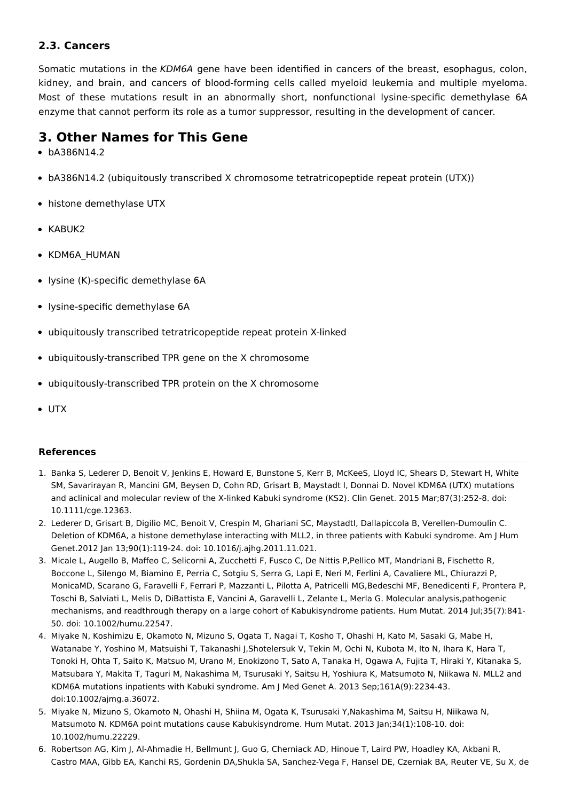#### **2.3. Cancers**

Somatic mutations in the KDM6A gene have been identified in cancers of the breast, esophagus, colon, kidney, and brain, and cancers of blood-forming cells called myeloid leukemia and multiple myeloma. Most of these mutations result in an abnormally short, nonfunctional lysine-specific demethylase 6A enzyme that cannot perform its role as a tumor suppressor, resulting in the development of cancer.

## **3. Other Names for This Gene**

- bA386N14.2
- bA386N14.2 (ubiquitously transcribed X chromosome tetratricopeptide repeat protein (UTX))
- histone demethylase UTX
- KABUK2
- KDM6A\_HUMAN
- lysine (K)-specific demethylase 6A
- lysine-specific demethylase 6A
- ubiquitously transcribed tetratricopeptide repeat protein X-linked
- ubiquitously-transcribed TPR gene on the X chromosome
- ubiquitously-transcribed TPR protein on the X chromosome
- UTX

#### **References**

- 1. Banka S, Lederer D, Benoit V, Jenkins E, Howard E, Bunstone S, Kerr B, McKeeS, Lloyd IC, Shears D, Stewart H, White SM, Savarirayan R, Mancini GM, Beysen D, Cohn RD, Grisart B, Maystadt I, Donnai D. Novel KDM6A (UTX) mutations and aclinical and molecular review of the X-linked Kabuki syndrome (KS2). Clin Genet. 2015 Mar;87(3):252-8. doi: 10.1111/cge.12363.
- 2. Lederer D, Grisart B, Digilio MC, Benoit V, Crespin M, Ghariani SC, Maystadtl, Dallapiccola B, Verellen-Dumoulin C. Deletion of KDM6A, a histone demethylase interacting with MLL2, in three patients with Kabuki syndrome. Am J Hum Genet.2012 Jan 13;90(1):119-24. doi: 10.1016/j.ajhg.2011.11.021.
- 3. Micale L, Augello B, Maffeo C, Selicorni A, Zucchetti F, Fusco C, De Nittis P,Pellico MT, Mandriani B, Fischetto R, Boccone L, Silengo M, Biamino E, Perria C, Sotgiu S, Serra G, Lapi E, Neri M, Ferlini A, Cavaliere ML, Chiurazzi P, MonicaMD, Scarano G, Faravelli F, Ferrari P, Mazzanti L, Pilotta A, Patricelli MG,Bedeschi MF, Benedicenti F, Prontera P, Toschi B, Salviati L, Melis D, DiBattista E, Vancini A, Garavelli L, Zelante L, Merla G. Molecular analysis,pathogenic mechanisms, and readthrough therapy on a large cohort of Kabukisyndrome patients. Hum Mutat. 2014 Jul;35(7):841- 50. doi: 10.1002/humu.22547.
- 4. Miyake N, Koshimizu E, Okamoto N, Mizuno S, Ogata T, Nagai T, Kosho T, Ohashi H, Kato M, Sasaki G, Mabe H, Watanabe Y, Yoshino M, Matsuishi T, Takanashi J,Shotelersuk V, Tekin M, Ochi N, Kubota M, Ito N, Ihara K, Hara T, Tonoki H, Ohta T, Saito K, Matsuo M, Urano M, Enokizono T, Sato A, Tanaka H, Ogawa A, Fujita T, Hiraki Y, Kitanaka S, Matsubara Y, Makita T, Taguri M, Nakashima M, Tsurusaki Y, Saitsu H, Yoshiura K, Matsumoto N, Niikawa N. MLL2 and KDM6A mutations inpatients with Kabuki syndrome. Am J Med Genet A. 2013 Sep;161A(9):2234-43. doi:10.1002/ajmg.a.36072.
- 5. Miyake N, Mizuno S, Okamoto N, Ohashi H, Shiina M, Ogata K, Tsurusaki Y,Nakashima M, Saitsu H, Niikawa N, Matsumoto N. KDM6A point mutations cause Kabukisyndrome. Hum Mutat. 2013 Jan;34(1):108-10. doi: 10.1002/humu.22229.
- 6. Robertson AG, Kim J, Al-Ahmadie H, Bellmunt J, Guo G, Cherniack AD, Hinoue T, Laird PW, Hoadley KA, Akbani R, Castro MAA, Gibb EA, Kanchi RS, Gordenin DA,Shukla SA, Sanchez-Vega F, Hansel DE, Czerniak BA, Reuter VE, Su X, de